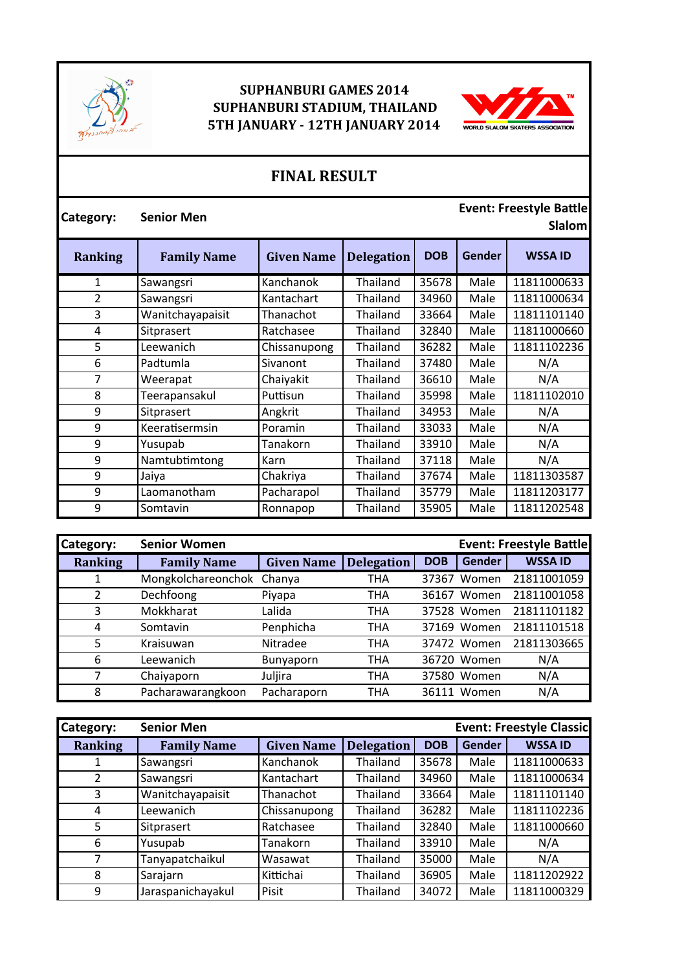

## **SUPHANBURI GAMES 2014 SUPHANBURI STADIUM, THAILAND 5TH JANUARY - 12TH JANUARY 2014**



## **FINAL RESULT**

| Category:      | <b>Senior Men</b>  |                   |                   |            |               | <b>Event: Freestyle Battle</b><br><b>Slalom</b> |
|----------------|--------------------|-------------------|-------------------|------------|---------------|-------------------------------------------------|
| <b>Ranking</b> | <b>Family Name</b> | <b>Given Name</b> | <b>Delegation</b> | <b>DOB</b> | <b>Gender</b> | <b>WSSA ID</b>                                  |
| 1              | Sawangsri          | Kanchanok         | Thailand          | 35678      | Male          | 11811000633                                     |
| $\overline{2}$ | Sawangsri          | Kantachart        | Thailand          | 34960      | Male          | 11811000634                                     |
| 3              | Wanitchayapaisit   | Thanachot         | Thailand          | 33664      | Male          | 11811101140                                     |
| 4              | Sitprasert         | Ratchasee         | Thailand          | 32840      | Male          | 11811000660                                     |
| 5              | Leewanich          | Chissanupong      | Thailand          | 36282      | Male          | 11811102236                                     |
| 6              | Padtumla           | Sivanont          | Thailand          | 37480      | Male          | N/A                                             |
| 7              | Weerapat           | Chaiyakit         | Thailand          | 36610      | Male          | N/A                                             |
| 8              | Teerapansakul      | Puttisun          | Thailand          | 35998      | Male          | 11811102010                                     |
| 9              | Sitprasert         | Angkrit           | Thailand          | 34953      | Male          | N/A                                             |
| 9              | Keeratisermsin     | Poramin           | Thailand          | 33033      | Male          | N/A                                             |
| 9              | Yusupab            | Tanakorn          | Thailand          | 33910      | Male          | N/A                                             |
| 9              | Namtubtimtong      | Karn              | Thailand          | 37118      | Male          | N/A                                             |
| 9              | Jaiya              | Chakriya          | Thailand          | 37674      | Male          | 11811303587                                     |
| 9              | Laomanotham        | Pacharapol        | Thailand          | 35779      | Male          | 11811203177                                     |
| 9              | Somtavin           | Ronnapop          | Thailand          | 35905      | Male          | 11811202548                                     |

| <b>Category:</b> | <b>Senior Women</b> |                   |                   |            |               | <b>Event: Freestyle Battle</b> |
|------------------|---------------------|-------------------|-------------------|------------|---------------|--------------------------------|
| <b>Ranking</b>   | <b>Family Name</b>  | <b>Given Name</b> | <b>Delegation</b> | <b>DOB</b> | <b>Gender</b> | <b>WSSA ID</b>                 |
|                  | Mongkolchareonchok  | Chanya            | THA               | 37367      | Women         | 21811001059                    |
|                  | Dechfoong           | Piyapa            | <b>THA</b>        | 36167      | Women         | 21811001058                    |
| 3                | Mokkharat           | Lalida            | THA               |            | 37528 Women   | 21811101182                    |
| 4                | Somtavin            | Penphicha         | THA               |            | 37169 Women   | 21811101518                    |
| 5                | Kraisuwan           | Nitradee          | <b>THA</b>        | 37472      | Women         | 21811303665                    |
| 6                | Leewanich           | <b>Bunyaporn</b>  | <b>THA</b>        |            | 36720 Women   | N/A                            |
| 7                | Chaiyaporn          | Juljira           | THA               |            | 37580 Women   | N/A                            |
| 8                | Pacharawarangkoon   | Pacharaporn       | THA               | 36111      | Women         | N/A                            |

| <b>Category:</b> | <b>Senior Men</b>  |                   |                   |            |               | <b>Event: Freestyle Classic</b> |
|------------------|--------------------|-------------------|-------------------|------------|---------------|---------------------------------|
| <b>Ranking</b>   | <b>Family Name</b> | <b>Given Name</b> | <b>Delegation</b> | <b>DOB</b> | <b>Gender</b> | <b>WSSA ID</b>                  |
| 1                | Sawangsri          | Kanchanok         | <b>Thailand</b>   | 35678      | Male          | 11811000633                     |
| 2                | Sawangsri          | Kantachart        | Thailand          | 34960      | Male          | 11811000634                     |
| 3                | Wanitchayapaisit   | Thanachot         | Thailand          | 33664      | Male          | 11811101140                     |
| 4                | Leewanich          | Chissanupong      | <b>Thailand</b>   | 36282      | Male          | 11811102236                     |
| 5                | Sitprasert         | Ratchasee         | Thailand          | 32840      | Male          | 11811000660                     |
| 6                | Yusupab            | Tanakorn          | Thailand          | 33910      | Male          | N/A                             |
| 7                | Tanyapatchaikul    | Wasawat           | Thailand          | 35000      | Male          | N/A                             |
| 8                | Sarajarn           | Kittichai         | Thailand          | 36905      | Male          | 11811202922                     |
| 9                | Jaraspanichayakul  | Pisit             | Thailand          | 34072      | Male          | 11811000329                     |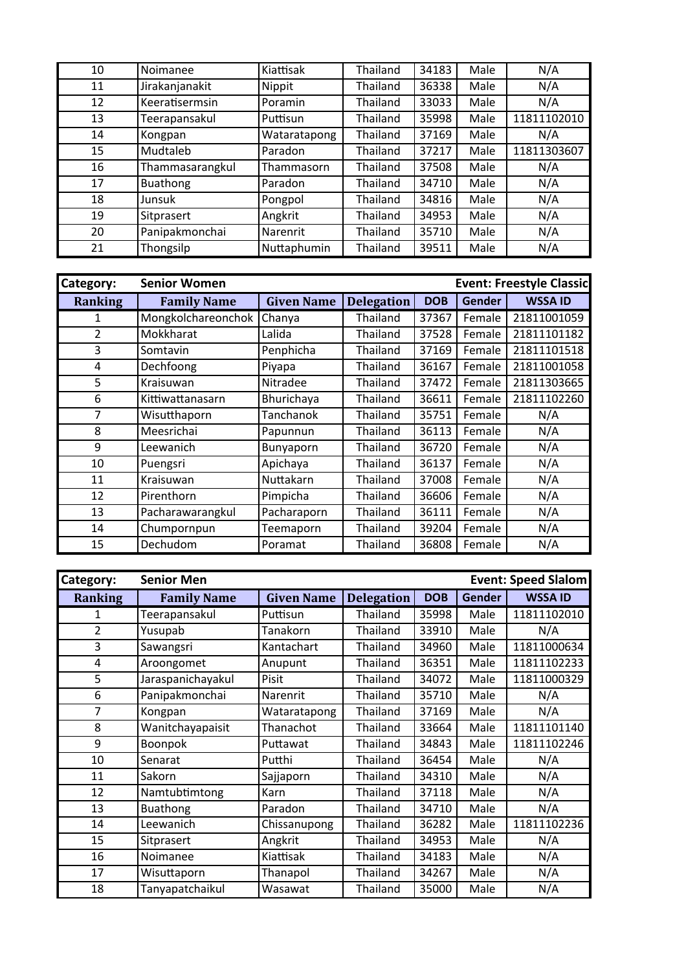| 10 | Noimanee        | Kiattisak    | Thailand | 34183 | Male | N/A         |
|----|-----------------|--------------|----------|-------|------|-------------|
| 11 | Jirakanjanakit  | Nippit       | Thailand | 36338 | Male | N/A         |
| 12 | Keeratisermsin  | Poramin      | Thailand | 33033 | Male | N/A         |
| 13 | Teerapansakul   | Puttisun     | Thailand | 35998 | Male | 11811102010 |
| 14 | Kongpan         | Wataratapong | Thailand | 37169 | Male | N/A         |
| 15 | Mudtaleb        | Paradon      | Thailand | 37217 | Male | 11811303607 |
| 16 | Thammasarangkul | Thammasorn   | Thailand | 37508 | Male | N/A         |
| 17 | Buathong        | Paradon      | Thailand | 34710 | Male | N/A         |
| 18 | Junsuk          | Pongpol      | Thailand | 34816 | Male | N/A         |
| 19 | Sitprasert      | Angkrit      | Thailand | 34953 | Male | N/A         |
| 20 | Panipakmonchai  | Narenrit     | Thailand | 35710 | Male | N/A         |
| 21 | Thongsilp       | Nuttaphumin  | Thailand | 39511 | Male | N/A         |

| Category:      | <b>Event: Freestyle Classic</b><br><b>Senior Women</b> |                   |                   |            |               |                |
|----------------|--------------------------------------------------------|-------------------|-------------------|------------|---------------|----------------|
| <b>Ranking</b> | <b>Family Name</b>                                     | <b>Given Name</b> | <b>Delegation</b> | <b>DOB</b> | <b>Gender</b> | <b>WSSA ID</b> |
|                | Mongkolchareonchok                                     | Chanya            | Thailand          | 37367      | Female        | 21811001059    |
| $\overline{2}$ | Mokkharat                                              | Lalida            | Thailand          | 37528      | Female        | 21811101182    |
| 3              | Somtavin                                               | Penphicha         | Thailand          | 37169      | Female        | 21811101518    |
| 4              | Dechfoong                                              | Piyapa            | Thailand          | 36167      | Female        | 21811001058    |
| 5              | Kraisuwan                                              | Nitradee          | Thailand          | 37472      | Female        | 21811303665    |
| 6              | Kittiwattanasarn                                       | Bhurichaya        | Thailand          | 36611      | Female        | 21811102260    |
| $\overline{7}$ | Wisutthaporn                                           | <b>Tanchanok</b>  | Thailand          | 35751      | Female        | N/A            |
| 8              | Meesrichai                                             | Papunnun          | Thailand          | 36113      | Female        | N/A            |
| 9              | Leewanich                                              | Bunyaporn         | Thailand          | 36720      | Female        | N/A            |
| 10             | Puengsri                                               | Apichaya          | Thailand          | 36137      | Female        | N/A            |
| 11             | Kraisuwan                                              | Nuttakarn         | Thailand          | 37008      | Female        | N/A            |
| 12             | Pirenthorn                                             | Pimpicha          | Thailand          | 36606      | Female        | N/A            |
| 13             | Pacharawarangkul                                       | Pacharaporn       | Thailand          | 36111      | Female        | N/A            |
| 14             | Chumpornpun                                            | Teemaporn         | Thailand          | 39204      | Female        | N/A            |
| 15             | Dechudom                                               | Poramat           | Thailand          | 36808      | Female        | N/A            |

| Category:      | <b>Senior Men</b>  |                   | <b>Event: Speed Slalom</b> |            |               |                |
|----------------|--------------------|-------------------|----------------------------|------------|---------------|----------------|
| <b>Ranking</b> | <b>Family Name</b> | <b>Given Name</b> | <b>Delegation</b>          | <b>DOB</b> | <b>Gender</b> | <b>WSSA ID</b> |
| 1              | Teerapansakul      | Puttisun          | Thailand                   | 35998      | Male          | 11811102010    |
| $\overline{2}$ | Yusupab            | Tanakorn          | Thailand                   | 33910      | Male          | N/A            |
| 3              | Sawangsri          | Kantachart        | Thailand                   | 34960      | Male          | 11811000634    |
| 4              | Aroongomet         | Anupunt           | Thailand                   | 36351      | Male          | 11811102233    |
| 5              | Jaraspanichayakul  | Pisit             | Thailand                   | 34072      | Male          | 11811000329    |
| 6              | Panipakmonchai     | Narenrit          | Thailand                   | 35710      | Male          | N/A            |
| $\overline{7}$ | Kongpan            | Wataratapong      | Thailand                   | 37169      | Male          | N/A            |
| 8              | Wanitchayapaisit   | Thanachot         | Thailand                   | 33664      | Male          | 11811101140    |
| 9              | Boonpok            | Puttawat          | Thailand                   | 34843      | Male          | 11811102246    |
| 10             | Senarat            | Putthi            | Thailand                   | 36454      | Male          | N/A            |
| 11             | Sakorn             | Sajjaporn         | Thailand                   | 34310      | Male          | N/A            |
| 12             | Namtubtimtong      | Karn              | Thailand                   | 37118      | Male          | N/A            |
| 13             | <b>Buathong</b>    | Paradon           | Thailand                   | 34710      | Male          | N/A            |
| 14             | Leewanich          | Chissanupong      | Thailand                   | 36282      | Male          | 11811102236    |
| 15             | Sitprasert         | Angkrit           | Thailand                   | 34953      | Male          | N/A            |
| 16             | Noimanee           | Kiattisak         | Thailand                   | 34183      | Male          | N/A            |
| 17             | Wisuttaporn        | Thanapol          | Thailand                   | 34267      | Male          | N/A            |
| 18             | Tanyapatchaikul    | Wasawat           | Thailand                   | 35000      | Male          | N/A            |